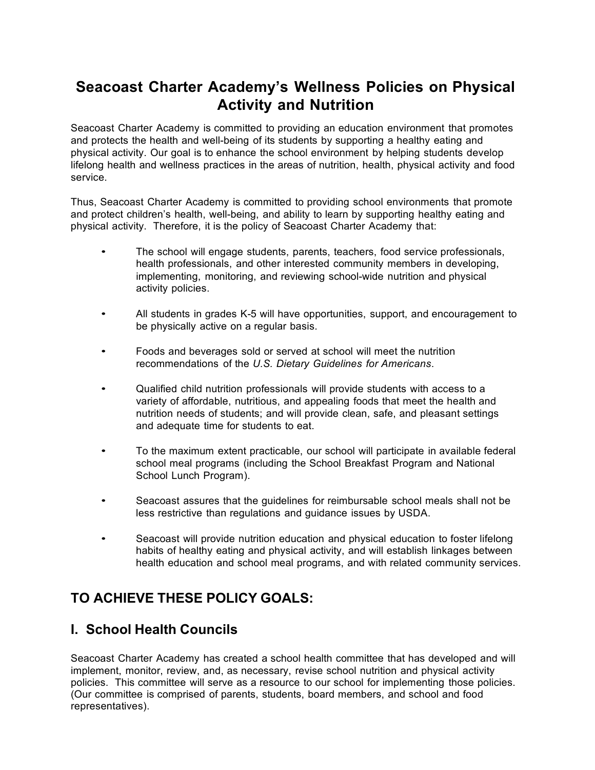# **Seacoast Charter Academy's Wellness Policies on Physical Activity and Nutrition**

Seacoast Charter Academy is committed to providing an education environment that promotes and protects the health and well-being of its students by supporting a healthy eating and physical activity. Our goal is to enhance the school environment by helping students develop lifelong health and wellness practices in the areas of nutrition, health, physical activity and food service.

Thus, Seacoast Charter Academy is committed to providing school environments that promote and protect children's health, well-being, and ability to learn by supporting healthy eating and physical activity. Therefore, it is the policy of Seacoast Charter Academy that:

- The school will engage students, parents, teachers, food service professionals, health professionals, and other interested community members in developing, implementing, monitoring, and reviewing school-wide nutrition and physical activity policies.
- All students in grades K-5 will have opportunities, support, and encouragement to be physically active on a regular basis.
- Foods and beverages sold or served at school will meet the nutrition recommendations of the *U.S. Dietary Guidelines for Americans*.
- Qualified child nutrition professionals will provide students with access to a variety of affordable, nutritious, and appealing foods that meet the health and nutrition needs of students; and will provide clean, safe, and pleasant settings and adequate time for students to eat.
- To the maximum extent practicable, our school will participate in available federal school meal programs (including the School Breakfast Program and National School Lunch Program).
- Seacoast assures that the guidelines for reimbursable school meals shall not be less restrictive than regulations and guidance issues by USDA.
- Seacoast will provide nutrition education and physical education to foster lifelong habits of healthy eating and physical activity, and will establish linkages between health education and school meal programs, and with related community services.

# **TO ACHIEVE THESE POLICY GOALS:**

## **I. School Health Councils**

Seacoast Charter Academy has created a school health committee that has developed and will implement, monitor, review, and, as necessary, revise school nutrition and physical activity policies. This committee will serve as a resource to our school for implementing those policies. (Our committee is comprised of parents, students, board members, and school and food representatives).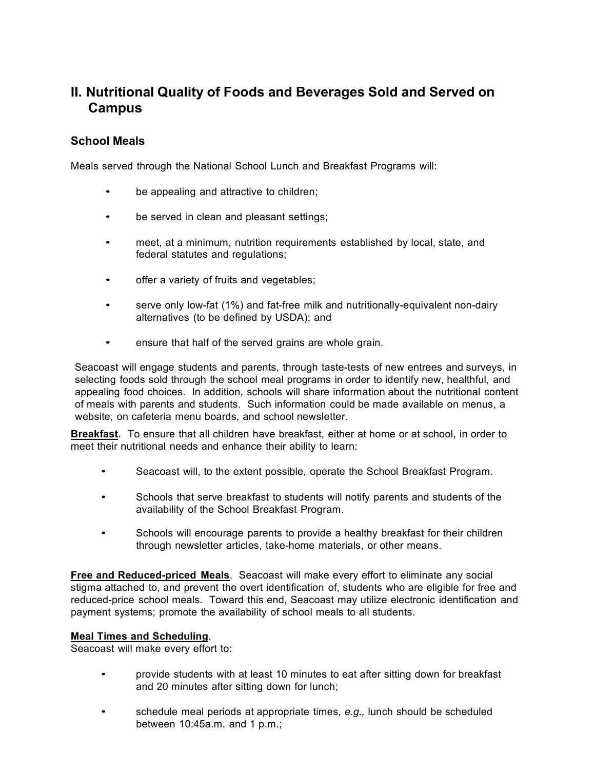# **II. Nutritional Quality of Foods and Beverages Sold and Served on Campus**

### **School Meals**

Meals served through the National School Lunch and Breakfast Programs will:

- be appealing and attractive to children;
- be served in clean and pleasant settings;
- meet, at a minimum, nutrition requirements established by local, state, and federal statutes and regulations;
- offer a variety of fruits and vegetables;
- serve only low-fat (1%) and fat-free milk and nutritionally-equivalent non-dairy alternatives (to be defined by USDA); and
- ensure that half of the served grains are whole grain.

Seacoast will engage students and parents, through taste-tests of new entrees and surveys, in selecting foods sold through the school meal programs in order to identify new, healthful, and appealing food choices. In addition, schools will share information about the nutritional content of meals with parents and students. Such information could be made available on menus, a website, on cafeteria menu boards, and school newsletter.

**Breakfast**. To ensure that all children have breakfast, either at home or at school, in order to meet their nutritional needs and enhance their ability to learn:

- Seacoast will, to the extent possible, operate the School Breakfast Program.
- Schools that serve breakfast to students will notify parents and students of the availability of the School Breakfast Program.
- Schools will encourage parents to provide a healthy breakfast for their children through newsletter articles, take-home materials, or other means.

**Free and Reduced-priced Meals**. Seacoast will make every effort to eliminate any social stigma attached to, and prevent the overt identification of, students who are eligible for free and reduced-price school meals. Toward this end, Seacoast may utilize electronic identification and payment systems; promote the availability of school meals to all students.

#### **Meal Times and Scheduling**.

Seacoast will make every effort to:

- provide students with at least 10 minutes to eat after sitting down for breakfast and 20 minutes after sitting down for lunch;
- schedule meal periods at appropriate times, *e.g.,* lunch should be scheduled between 10:45a.m. and 1 p.m.;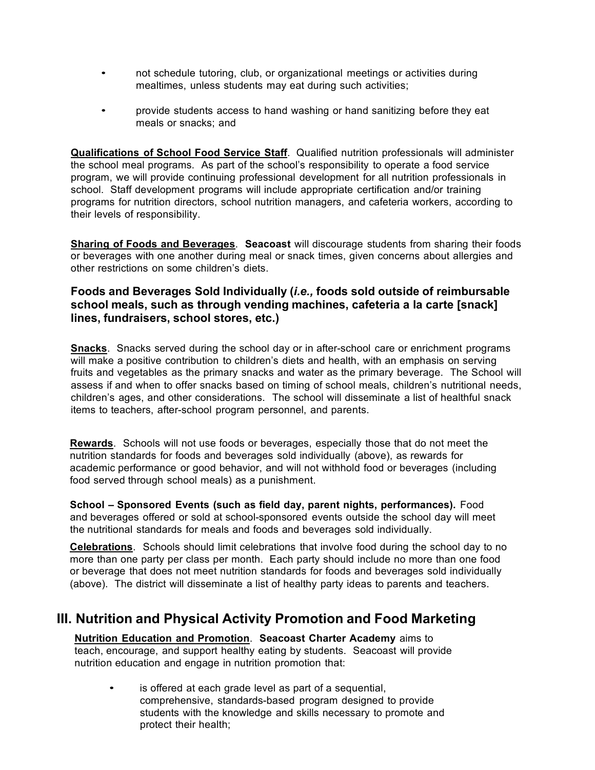- not schedule tutoring, club, or organizational meetings or activities during mealtimes, unless students may eat during such activities;
- provide students access to hand washing or hand sanitizing before they eat meals or snacks; and

**Qualifications of School Food Service Staff**. Qualified nutrition professionals will administer the school meal programs. As part of the school's responsibility to operate a food service program, we will provide continuing professional development for all nutrition professionals in school. Staff development programs will include appropriate certification and/or training programs for nutrition directors, school nutrition managers, and cafeteria workers, according to their levels of responsibility.

**Sharing of Foods and Beverages**. **Seacoast** will discourage students from sharing their foods or beverages with one another during meal or snack times, given concerns about allergies and other restrictions on some children's diets.

### **Foods and Beverages Sold Individually (***i.e.,* **foods sold outside of reimbursable school meals, such as through vending machines, cafeteria a la carte [snack] lines, fundraisers, school stores, etc.)**

**Snacks**. Snacks served during the school day or in after-school care or enrichment programs will make a positive contribution to children's diets and health, with an emphasis on serving fruits and vegetables as the primary snacks and water as the primary beverage. The School will assess if and when to offer snacks based on timing of school meals, children's nutritional needs, children's ages, and other considerations. The school will disseminate a list of healthful snack items to teachers, after-school program personnel, and parents.

**Rewards**. Schools will not use foods or beverages, especially those that do not meet the nutrition standards for foods and beverages sold individually (above), as rewards for academic performance or good behavior, and will not withhold food or beverages (including food served through school meals) as a punishment.

**School – Sponsored Events (such as field day, parent nights, performances).** Food and beverages offered or sold at school-sponsored events outside the school day will meet the nutritional standards for meals and foods and beverages sold individually.

**Celebrations**. Schools should limit celebrations that involve food during the school day to no more than one party per class per month. Each party should include no more than one food or beverage that does not meet nutrition standards for foods and beverages sold individually (above). The district will disseminate a list of healthy party ideas to parents and teachers.

## **III. Nutrition and Physical Activity Promotion and Food Marketing**

### **Nutrition Education and Promotion**. **Seacoast Charter Academy** aims to

teach, encourage, and support healthy eating by students. Seacoast will provide nutrition education and engage in nutrition promotion that:

is offered at each grade level as part of a sequential, comprehensive, standards-based program designed to provide students with the knowledge and skills necessary to promote and protect their health;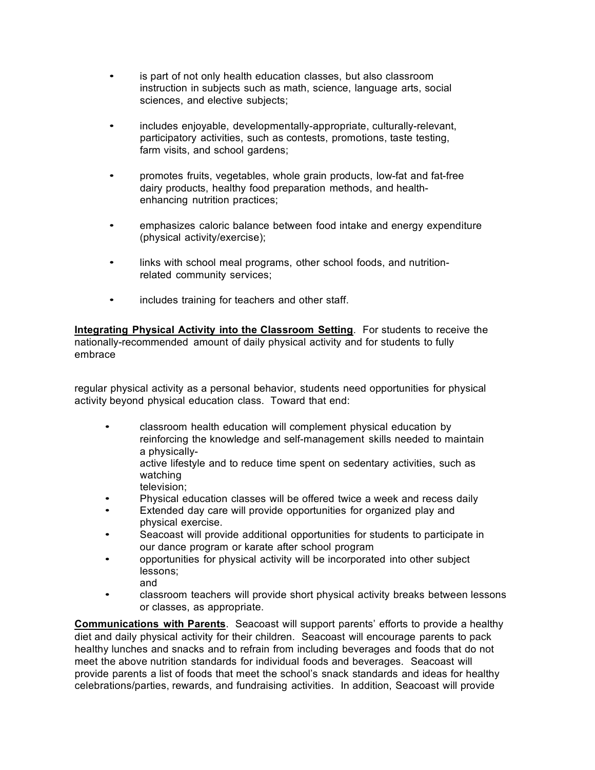- is part of not only health education classes, but also classroom instruction in subjects such as math, science, language arts, social sciences, and elective subjects;
- includes enjoyable, developmentally-appropriate, culturally-relevant, participatory activities, such as contests, promotions, taste testing, farm visits, and school gardens;
- promotes fruits, vegetables, whole grain products, low-fat and fat-free dairy products, healthy food preparation methods, and healthenhancing nutrition practices;
- emphasizes caloric balance between food intake and energy expenditure (physical activity/exercise);
- links with school meal programs, other school foods, and nutritionrelated community services;
- includes training for teachers and other staff.

**Integrating Physical Activity into the Classroom Setting**. For students to receive the nationally-recommended amount of daily physical activity and for students to fully embrace

regular physical activity as a personal behavior, students need opportunities for physical activity beyond physical education class. Toward that end:

• classroom health education will complement physical education by reinforcing the knowledge and self-management skills needed to maintain a physicallyactive lifestyle and to reduce time spent on sedentary activities, such as

watching television;

- Physical education classes will be offered twice a week and recess daily
- Extended day care will provide opportunities for organized play and physical exercise.
- Seacoast will provide additional opportunities for students to participate in our dance program or karate after school program
- opportunities for physical activity will be incorporated into other subject lessons; and
- classroom teachers will provide short physical activity breaks between lessons or classes, as appropriate.

**Communications with Parents**. Seacoast will support parents' efforts to provide a healthy diet and daily physical activity for their children. Seacoast will encourage parents to pack healthy lunches and snacks and to refrain from including beverages and foods that do not meet the above nutrition standards for individual foods and beverages. Seacoast will provide parents a list of foods that meet the school's snack standards and ideas for healthy celebrations/parties, rewards, and fundraising activities. In addition, Seacoast will provide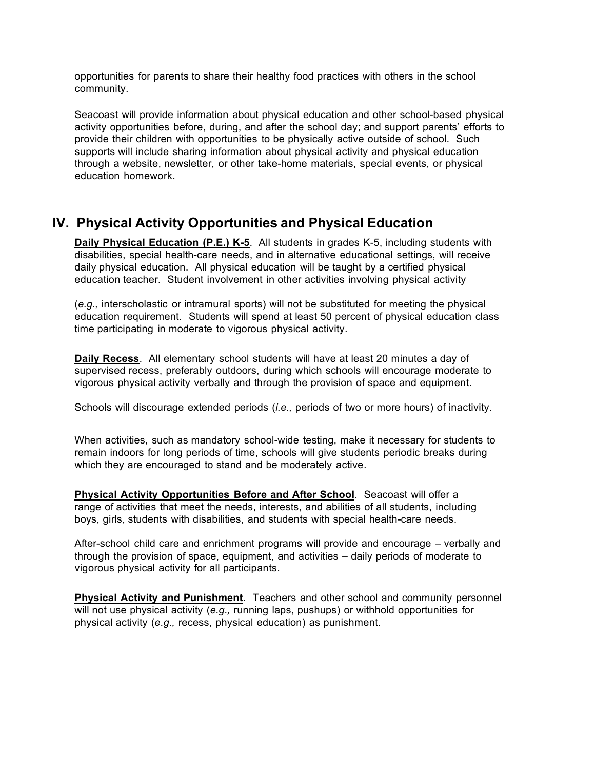opportunities for parents to share their healthy food practices with others in the school community.

Seacoast will provide information about physical education and other school-based physical activity opportunities before, during, and after the school day; and support parents' efforts to provide their children with opportunities to be physically active outside of school. Such supports will include sharing information about physical activity and physical education through a website, newsletter, or other take-home materials, special events, or physical education homework.

## **IV. Physical Activity Opportunities and Physical Education**

**Daily Physical Education (P.E.) K-5**. All students in grades K-5, including students with disabilities, special health-care needs, and in alternative educational settings, will receive daily physical education. All physical education will be taught by a certified physical education teacher. Student involvement in other activities involving physical activity

(*e.g.,* interscholastic or intramural sports) will not be substituted for meeting the physical education requirement. Students will spend at least 50 percent of physical education class time participating in moderate to vigorous physical activity.

**Daily Recess**. All elementary school students will have at least 20 minutes a day of supervised recess, preferably outdoors, during which schools will encourage moderate to vigorous physical activity verbally and through the provision of space and equipment.

Schools will discourage extended periods (*i.e.,* periods of two or more hours) of inactivity.

When activities, such as mandatory school-wide testing, make it necessary for students to remain indoors for long periods of time, schools will give students periodic breaks during which they are encouraged to stand and be moderately active.

**Physical Activity Opportunities Before and After School**. Seacoast will offer a range of activities that meet the needs, interests, and abilities of all students, including boys, girls, students with disabilities, and students with special health-care needs.

After-school child care and enrichment programs will provide and encourage – verbally and through the provision of space, equipment, and activities – daily periods of moderate to vigorous physical activity for all participants.

**Physical Activity and Punishment**. Teachers and other school and community personnel will not use physical activity (*e.g.,* running laps, pushups) or withhold opportunities for physical activity (*e.g.,* recess, physical education) as punishment.